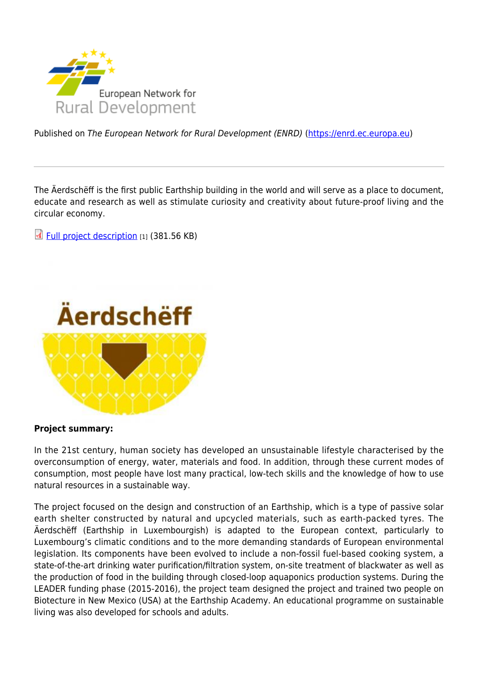

Published on The European Network for Rural Development (ENRD) [\(https://enrd.ec.europa.eu](https://enrd.ec.europa.eu))

The Äerdschëff is the first public Earthship building in the world and will serve as a place to document, educate and research as well as stimulate curiosity and creativity about future-proof living and the circular economy.

[Full project description](https://enrd.ec.europa.eu/file/29191/download_en?token=yZ5zz2BZ&filename=gp_lu_earthship_655_web_fin.pdf) [1] (381.56 KB)



## **Project summary:**

In the 21st century, human society has developed an unsustainable lifestyle characterised by the overconsumption of energy, water, materials and food. In addition, through these current modes of consumption, most people have lost many practical, low-tech skills and the knowledge of how to use natural resources in a sustainable way.

The project focused on the design and construction of an Earthship, which is a type of passive solar earth shelter constructed by natural and upcycled materials, such as earth-packed tyres. The Äerdschëff (Earthship in Luxembourgish) is adapted to the European context, particularly to Luxembourg's climatic conditions and to the more demanding standards of European environmental legislation. Its components have been evolved to include a non-fossil fuel-based cooking system, a state-of-the-art drinking water purification/filtration system, on-site treatment of blackwater as well as the production of food in the building through closed-loop aquaponics production systems. During the LEADER funding phase (2015-2016), the project team designed the project and trained two people on Biotecture in New Mexico (USA) at the Earthship Academy. An educational programme on sustainable living was also developed for schools and adults.